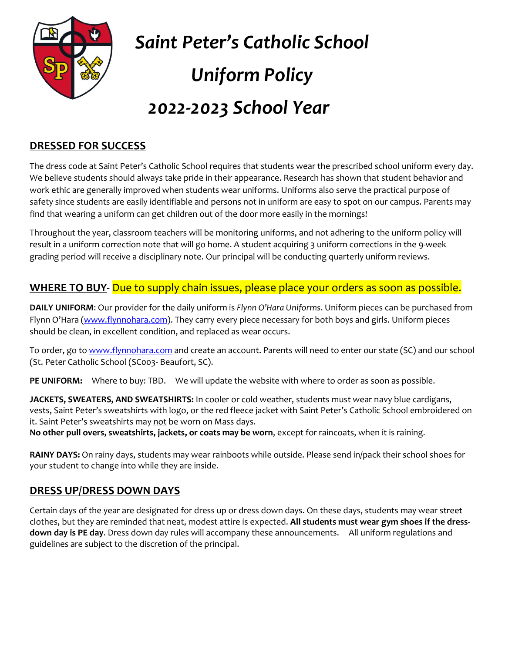

*Saint Peter's Catholic School Uniform Policy*

# *2022-2023 School Year*

#### **DRESSED FOR SUCCESS**

The dress code at Saint Peter's Catholic School requires that students wear the prescribed school uniform every day. We believe students should always take pride in their appearance. Research has shown that student behavior and work ethic are generally improved when students wear uniforms. Uniforms also serve the practical purpose of safety since students are easily identifiable and persons not in uniform are easy to spot on our campus. Parents may find that wearing a uniform can get children out of the door more easily in the mornings!

Throughout the year, classroom teachers will be monitoring uniforms, and not adhering to the uniform policy will result in a uniform correction note that will go home. A student acquiring 3 uniform corrections in the 9-week grading period will receive a disciplinary note. Our principal will be conducting quarterly uniform reviews.

#### **WHERE TO BUY-** Due to supply chain issues, please place your orders as soon as possible.

**DAILY UNIFORM**: Our provider for the daily uniform is *Flynn O'Hara Uniforms*. Uniform pieces can be purchased from Flynn O'Hara ([www.flynnohara.com\)](http://www.flynnohara.com/). They carry every piece necessary for both boys and girls. Uniform pieces should be clean, in excellent condition, and replaced as wear occurs.

To order, go to [www.flynnohara.com](http://www.flynnohara.com/) and create an account. Parents will need to enter our state (SC) and our school (St. Peter Catholic School (SC003- Beaufort, SC).

**PE UNIFORM:** Where to buy: TBD. We will update the website with where to order as soon as possible.

**JACKETS, SWEATERS, AND SWEATSHIRTS:** In cooler or cold weather, students must wear navy blue cardigans, vests, Saint Peter's sweatshirts with logo, or the red fleece jacket with Saint Peter's Catholic School embroidered on it. Saint Peter's sweatshirts may not be worn on Mass days.

**No other pull overs, sweatshirts, jackets, or coats may be worn**, except for raincoats, when it is raining.

**RAINY DAYS:** On rainy days, students may wear rainboots while outside. Please send in/pack their school shoes for your student to change into while they are inside.

#### **DRESS UP/DRESS DOWN DAYS**

Certain days of the year are designated for dress up or dress down days. On these days, students may wear street clothes, but they are reminded that neat, modest attire is expected. **All students must wear gym shoes if the dressdown day is PE day**. Dress down day rules will accompany these announcements. All uniform regulations and guidelines are subject to the discretion of the principal.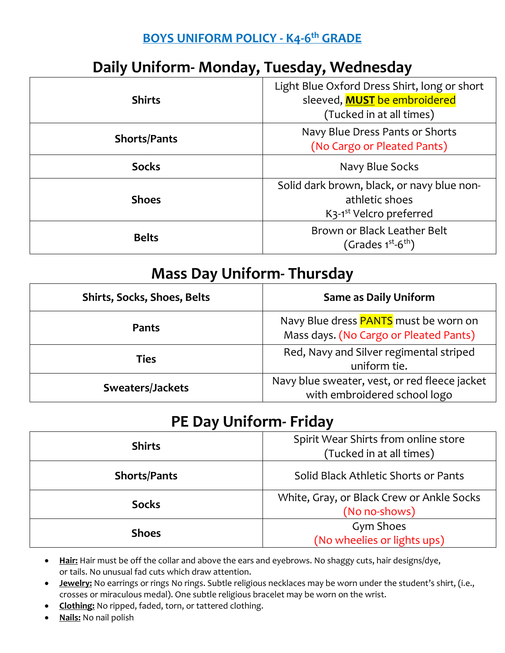#### **BOYS UNIFORM POLICY - K4-6 th GRADE**

## **Daily Uniform- Monday, Tuesday, Wednesday**

| <b>Shirts</b>       | Light Blue Oxford Dress Shirt, long or short<br>sleeved, <b>MUST</b> be embroidered<br>(Tucked in at all times)  |
|---------------------|------------------------------------------------------------------------------------------------------------------|
| <b>Shorts/Pants</b> | Navy Blue Dress Pants or Shorts<br>(No Cargo or Pleated Pants)                                                   |
| <b>Socks</b>        | Navy Blue Socks                                                                                                  |
| <b>Shoes</b>        | Solid dark brown, black, or navy blue non-<br>athletic shoes<br>K <sub>3</sub> -1 <sup>st</sup> Velcro preferred |
| <b>Belts</b>        | Brown or Black Leather Belt<br>(Grades $1^{st}$ -6 <sup>th</sup> )                                               |

### **Mass Day Uniform- Thursday**

| <b>Shirts, Socks, Shoes, Belts</b> | <b>Same as Daily Uniform</b>                                                           |
|------------------------------------|----------------------------------------------------------------------------------------|
| Pants                              | Navy Blue dress <b>PANTS</b> must be worn on<br>Mass days. (No Cargo or Pleated Pants) |
| <b>Ties</b>                        | Red, Navy and Silver regimental striped<br>uniform tie.                                |
| Sweaters/Jackets                   | Navy blue sweater, vest, or red fleece jacket<br>with embroidered school logo          |

#### **PE Day Uniform- Friday**

| <b>Shirts</b>       | Spirit Wear Shirts from online store<br>(Tucked in at all times) |
|---------------------|------------------------------------------------------------------|
| <b>Shorts/Pants</b> | Solid Black Athletic Shorts or Pants                             |
| <b>Socks</b>        | White, Gray, or Black Crew or Ankle Socks<br>(No no-shows)       |
| <b>Shoes</b>        | <b>Gym Shoes</b><br>(No wheelies or lights ups)                  |

- **Hair:** Hair must be off the collar and above the ears and eyebrows. No shaggy cuts, hair designs/dye, or tails. No unusual fad cuts which draw attention.
- **Jewelry:** No earrings or rings No rings. Subtle religious necklaces may be worn under the student's shirt, (i.e., crosses or miraculous medal). One subtle religious bracelet may be worn on the wrist.
- **Clothing:** No ripped, faded, torn, or tattered clothing.
- **Nails:** No nail polish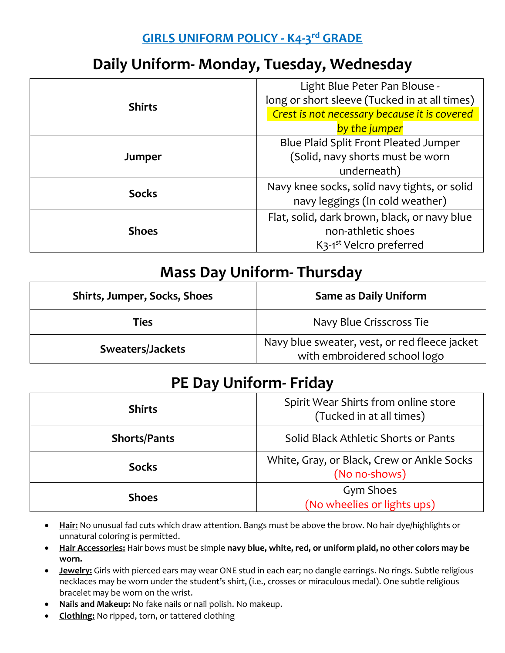#### **GIRLS UNIFORM POLICY - K4-3 rd GRADE**

## **Daily Uniform- Monday, Tuesday, Wednesday**

| <b>Shirts</b> | Light Blue Peter Pan Blouse -                    |
|---------------|--------------------------------------------------|
|               | long or short sleeve (Tucked in at all times)    |
|               | Crest is not necessary because it is covered     |
|               | by the jumper                                    |
| Jumper        | Blue Plaid Split Front Pleated Jumper            |
|               | (Solid, navy shorts must be worn                 |
|               | underneath)                                      |
| <b>Socks</b>  | Navy knee socks, solid navy tights, or solid     |
|               | navy leggings (In cold weather)                  |
| <b>Shoes</b>  | Flat, solid, dark brown, black, or navy blue     |
|               | non-athletic shoes                               |
|               | K <sub>3</sub> -1 <sup>st</sup> Velcro preferred |

### **Mass Day Uniform- Thursday**

| Shirts, Jumper, Socks, Shoes | <b>Same as Daily Uniform</b>                                                  |
|------------------------------|-------------------------------------------------------------------------------|
| <b>Ties</b>                  | Navy Blue Crisscross Tie                                                      |
| Sweaters/Jackets             | Navy blue sweater, vest, or red fleece jacket<br>with embroidered school logo |

### **PE Day Uniform- Friday**

| <b>Shirts</b>       | Spirit Wear Shirts from online store<br>(Tucked in at all times) |
|---------------------|------------------------------------------------------------------|
| <b>Shorts/Pants</b> | Solid Black Athletic Shorts or Pants                             |
| <b>Socks</b>        | White, Gray, or Black, Crew or Ankle Socks<br>(No no-shows)      |
| <b>Shoes</b>        | Gym Shoes<br>(No wheelies or lights ups)                         |

- **Hair:** No unusual fad cuts which draw attention. Bangs must be above the brow. No hair dye/highlights or unnatural coloring is permitted.
- **Hair Accessories:** Hair bows must be simple **navy blue, white, red, or uniform plaid, no other colors may be worn.**
- **Jewelry:** Girls with pierced ears may wear ONE stud in each ear; no dangle earrings. No rings. Subtle religious necklaces may be worn under the student's shirt, (i.e., crosses or miraculous medal). One subtle religious bracelet may be worn on the wrist.
- **Nails and Makeup:** No fake nails or nail polish. No makeup.
- **Clothing:** No ripped, torn, or tattered clothing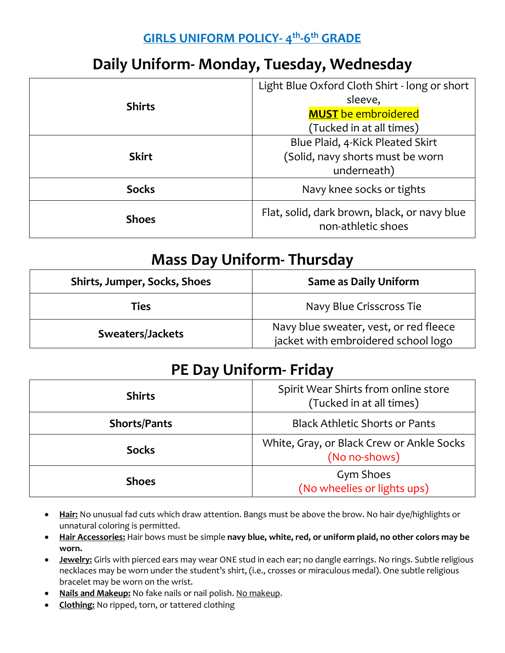#### **GIRLS UNIFORM POLICY- 4 th -6 th GRADE**

## **Daily Uniform- Monday, Tuesday, Wednesday**

| <b>Shirts</b> | Light Blue Oxford Cloth Shirt - long or short                      |
|---------------|--------------------------------------------------------------------|
|               | sleeve,                                                            |
|               | <b>MUST</b> be embroidered                                         |
|               | (Tucked in at all times)                                           |
| <b>Skirt</b>  | Blue Plaid, 4-Kick Pleated Skirt                                   |
|               | (Solid, navy shorts must be worn                                   |
|               | underneath)                                                        |
| <b>Socks</b>  | Navy knee socks or tights                                          |
| <b>Shoes</b>  | Flat, solid, dark brown, black, or navy blue<br>non-athletic shoes |

#### **Mass Day Uniform- Thursday**

| Shirts, Jumper, Socks, Shoes | <b>Same as Daily Uniform</b>                                                  |
|------------------------------|-------------------------------------------------------------------------------|
| Ties                         | Navy Blue Crisscross Tie                                                      |
| Sweaters/Jackets             | Navy blue sweater, vest, or red fleece<br>jacket with embroidered school logo |

## **PE Day Uniform- Friday**

| <b>Shirts</b>       | Spirit Wear Shirts from online store<br>(Tucked in at all times) |
|---------------------|------------------------------------------------------------------|
| <b>Shorts/Pants</b> | <b>Black Athletic Shorts or Pants</b>                            |
| <b>Socks</b>        | White, Gray, or Black Crew or Ankle Socks<br>(No no-shows)       |
| <b>Shoes</b>        | Gym Shoes<br>(No wheelies or lights ups)                         |

- **Hair:** No unusual fad cuts which draw attention. Bangs must be above the brow. No hair dye/highlights or unnatural coloring is permitted.
- **Hair Accessories:** Hair bows must be simple **navy blue, white, red, or uniform plaid, no other colors may be worn.**
- **Jewelry:** Girls with pierced ears may wear ONE stud in each ear; no dangle earrings. No rings. Subtle religious necklaces may be worn under the student's shirt, (i.e., crosses or miraculous medal). One subtle religious bracelet may be worn on the wrist.
- **Nails and Makeup:** No fake nails or nail polish. No makeup.
- **Clothing:** No ripped, torn, or tattered clothing